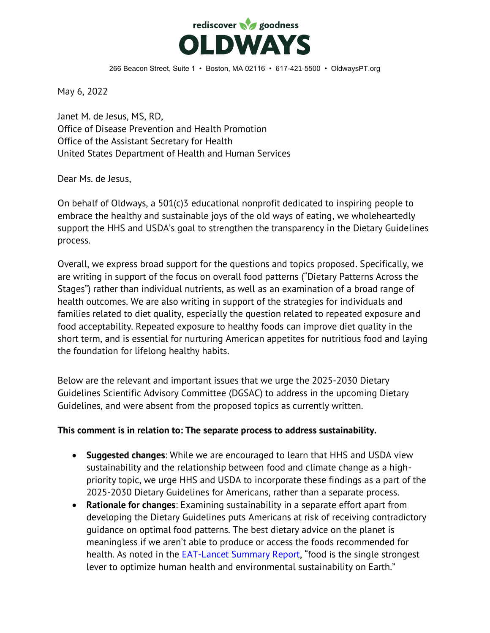

May 6, 2022

Janet M. de Jesus, MS, RD, Office of Disease Prevention and Health Promotion Office of the Assistant Secretary for Health United States Department of Health and Human Services

Dear Ms. de Jesus,

On behalf of Oldways, a 501(c)3 educational nonprofit dedicated to inspiring people to embrace the healthy and sustainable joys of the old ways of eating, we wholeheartedly support the HHS and USDA's goal to strengthen the transparency in the Dietary Guidelines process.

Overall, we express broad support for the questions and topics proposed. Specifically, we are writing in support of the focus on overall food patterns ("Dietary Patterns Across the Stages") rather than individual nutrients, as well as an examination of a broad range of health outcomes. We are also writing in support of the strategies for individuals and families related to diet quality, especially the question related to repeated exposure and food acceptability. Repeated exposure to healthy foods can improve diet quality in the short term, and is essential for nurturing American appetites for nutritious food and laying the foundation for lifelong healthy habits.

Below are the relevant and important issues that we urge the 2025-2030 Dietary Guidelines Scientific Advisory Committee (DGSAC) to address in the upcoming Dietary Guidelines, and were absent from the proposed topics as currently written.

## **This comment is in relation to: The separate process to address sustainability.**

- **Suggested changes**: While we are encouraged to learn that HHS and USDA view sustainability and the relationship between food and climate change as a highpriority topic, we urge HHS and USDA to incorporate these findings as a part of the 2025-2030 Dietary Guidelines for Americans, rather than a separate process.
- **Rationale for changes**: Examining sustainability in a separate effort apart from developing the Dietary Guidelines puts Americans at risk of receiving contradictory guidance on optimal food patterns. The best dietary advice on the planet is meaningless if we aren't able to produce or access the foods recommended for health. As noted in the [EAT-Lancet Summary Report](https://eatforum.org/eat-lancet-commission/eat-lancet-commission-summary-report/), "food is the single strongest lever to optimize human health and environmental sustainability on Earth."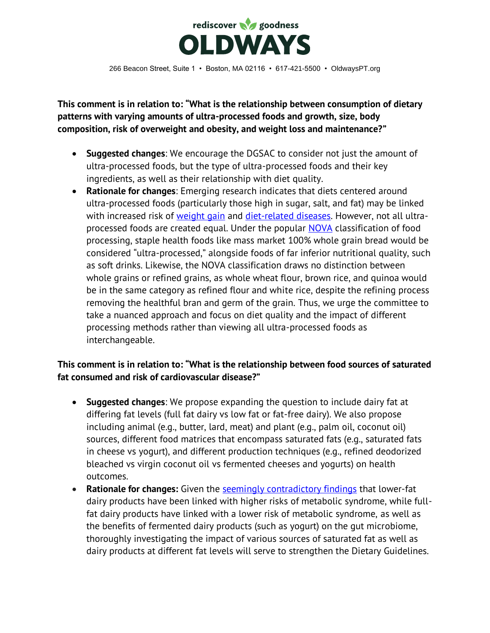

**This comment is in relation to: "What is the relationship between consumption of dietary patterns with varying amounts of ultra-processed foods and growth, size, body composition, risk of overweight and obesity, and weight loss and maintenance?"**

- **Suggested changes**: We encourage the DGSAC to consider not just the amount of ultra-processed foods, but the type of ultra-processed foods and their key ingredients, as well as their relationship with diet quality.
- **Rationale for changes**: Emerging research indicates that diets centered around ultra-processed foods (particularly those high in sugar, salt, and fat) may be linked with increased risk of [weight gain](https://www.sciencedirect.com/science/article/pii/S1550413119302487?via%3Dihub) and [diet-related diseases.](https://pubmed.ncbi.nlm.nih.gov/31841598/) However, not all ultra-processed foods are created equal. Under the popular [NOVA](https://www.fao.org/3/ca5644en/ca5644en.pdf) classification of food processing, staple health foods like mass market 100% whole grain bread would be considered "ultra-processed," alongside foods of far inferior nutritional quality, such as soft drinks. Likewise, the NOVA classification draws no distinction between whole grains or refined grains, as whole wheat flour, brown rice, and quinoa would be in the same category as refined flour and white rice, despite the refining process removing the healthful bran and germ of the grain. Thus, we urge the committee to take a nuanced approach and focus on diet quality and the impact of different processing methods rather than viewing all ultra-processed foods as interchangeable.

## **This comment is in relation to: "What is the relationship between food sources of saturated fat consumed and risk of cardiovascular disease?"**

- **Suggested changes**: We propose expanding the question to include dairy fat at differing fat levels (full fat dairy vs low fat or fat-free dairy). We also propose including animal (e.g., butter, lard, meat) and plant (e.g., palm oil, coconut oil) sources, different food matrices that encompass saturated fats (e.g., saturated fats in cheese vs yogurt), and different production techniques (e.g., refined deodorized bleached vs virgin coconut oil vs fermented cheeses and yogurts) on health outcomes.
- **Rationale for changes:** Given the [seemingly contradictory findings](https://pubmed.ncbi.nlm.nih.gov/32423962/) that lower-fat dairy products have been linked with higher risks of metabolic syndrome, while fullfat dairy products have linked with a lower risk of metabolic syndrome, as well as the benefits of fermented dairy products (such as yogurt) on the gut microbiome, thoroughly investigating the impact of various sources of saturated fat as well as dairy products at different fat levels will serve to strengthen the Dietary Guidelines.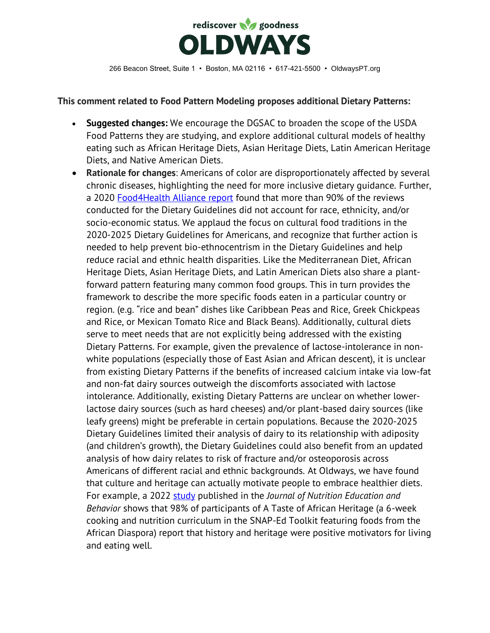

## **This comment related to Food Pattern Modeling proposes additional Dietary Patterns:**

- **Suggested changes:** We encourage the DGSAC to broaden the scope of the USDA Food Patterns they are studying, and explore additional cultural models of healthy eating such as African Heritage Diets, Asian Heritage Diets, Latin American Heritage Diets, and Native American Diets.
- **Rationale for changes**: Americans of color are disproportionately affected by several chronic diseases, highlighting the need for more inclusive dietary guidance. Further, a 2020 [Food4Health Alliance report](https://food4health.org/wp-content/uploads/2020/08/F4H-report-113p.pdf) found that more than 90% of the reviews conducted for the Dietary Guidelines did not account for race, ethnicity, and/or socio-economic status. We applaud the focus on cultural food traditions in the 2020-2025 Dietary Guidelines for Americans, and recognize that further action is needed to help prevent bio-ethnocentrism in the Dietary Guidelines and help reduce racial and ethnic health disparities. Like the Mediterranean Diet, African Heritage Diets, Asian Heritage Diets, and Latin American Diets also share a plantforward pattern featuring many common food groups. This in turn provides the framework to describe the more specific foods eaten in a particular country or region. (e.g. "rice and bean" dishes like Caribbean Peas and Rice, Greek Chickpeas and Rice, or Mexican Tomato Rice and Black Beans). Additionally, cultural diets serve to meet needs that are not explicitly being addressed with the existing Dietary Patterns. For example, given the prevalence of lactose-intolerance in nonwhite populations (especially those of East Asian and African descent), it is unclear from existing Dietary Patterns if the benefits of increased calcium intake via low-fat and non-fat dairy sources outweigh the discomforts associated with lactose intolerance. Additionally, existing Dietary Patterns are unclear on whether lowerlactose dairy sources (such as hard cheeses) and/or plant-based dairy sources (like leafy greens) might be preferable in certain populations. Because the 2020-2025 Dietary Guidelines limited their analysis of dairy to its relationship with adiposity (and children's growth), the Dietary Guidelines could also benefit from an updated analysis of how dairy relates to risk of fracture and/or osteoporosis across Americans of different racial and ethnic backgrounds. At Oldways, we have found that culture and heritage can actually motivate people to embrace healthier diets. For example, a 2022 [study](https://www.sciencedirect.com/science/article/pii/S1499404621009386) published in the *Journal of Nutrition Education and Behavior* shows that 98% of participants of A Taste of African Heritage (a 6-week cooking and nutrition curriculum in the SNAP-Ed Toolkit featuring foods from the African Diaspora) report that history and heritage were positive motivators for living and eating well.